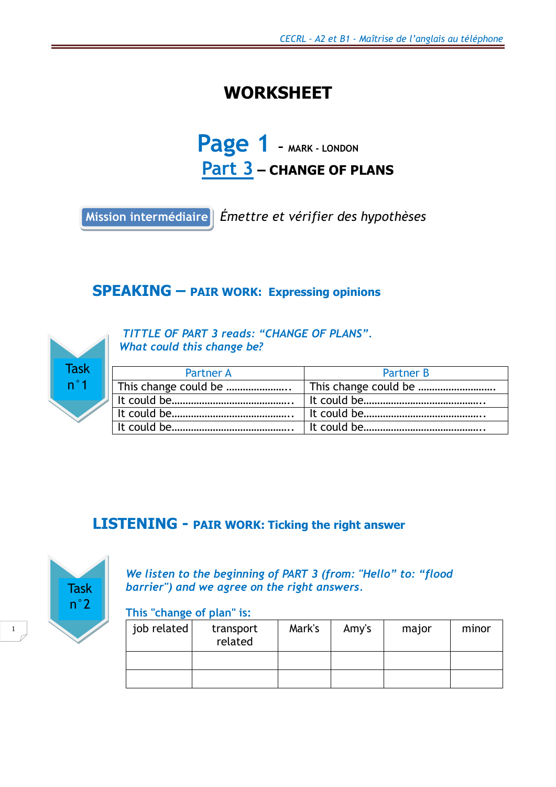## **WORKSHEET**

**Page 1 – MARK - LONDON Part 3 – CHANGE OF PLANS**

**Mission intermédiaire** *Émettre et vérifier des hypothèses*

### **SPEAKING – PAIR WORK: Expressing opinions**



*TITTLE OF PART 3 reads: "CHANGE OF PLANS". What could this change be?*

| <b>Partner A</b>                                       | <b>Partner B</b> |
|--------------------------------------------------------|------------------|
|                                                        |                  |
|                                                        |                  |
|                                                        |                  |
| lt could be…………………………………………!It could be……………………………………… |                  |

### **LISTENING - PAIR WORK: Ticking the right answer**



*We listen to the beginning of PART 3 (from: "Hello" to: "flood barrier") and we agree on the right answers.*

#### **This "change of plan" is:**

| job related | transport<br>related | Mark's | Amy's | major | minor |
|-------------|----------------------|--------|-------|-------|-------|
|             |                      |        |       |       |       |
|             |                      |        |       |       |       |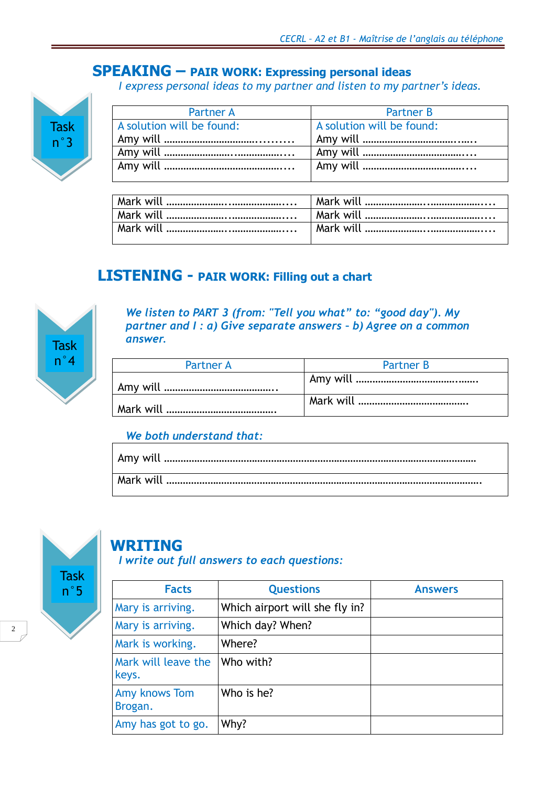### **SPEAKING – PAIR WORK: Expressing personal ideas**

*I express personal ideas to my partner and listen to my partner's ideas.*



| <b>Partner B</b>          |
|---------------------------|
| A solution will be found: |
|                           |
|                           |
|                           |
|                           |

### **LISTENING - PAIR WORK: Filling out a chart**



*We listen to PART 3 (from: "Tell you what" to: "good day"). My partner and I : a) Give separate answers – b) Agree on a common answer.*

| <b>Partner A</b> | <b>Partner B</b> |
|------------------|------------------|
|                  |                  |
|                  |                  |

#### *We both understand that:*



# **WRITING**

#### *I write out full answers to each questions:*

| <b>Facts</b>                    | <b>Questions</b>               | <b>Answers</b> |
|---------------------------------|--------------------------------|----------------|
| Mary is arriving.               | Which airport will she fly in? |                |
| Mary is arriving.               | Which day? When?               |                |
| Mark is working.                | Where?                         |                |
| Mark will leave the<br>keys.    | Who with?                      |                |
| <b>Amy knows Tom</b><br>Brogan. | Who is he?                     |                |
| Amy has got to go.              | Why?                           |                |

2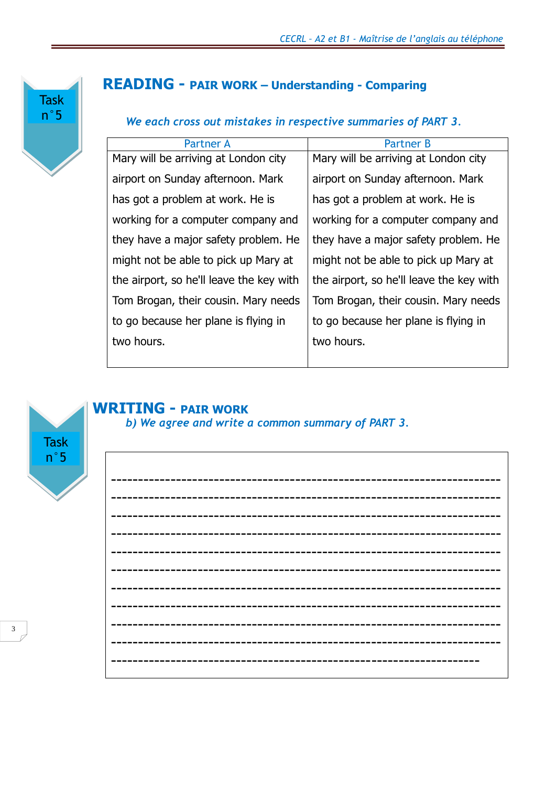## **READING - PAIR WORK – Understanding - Comparing**

#### *We each cross out mistakes in respective summaries of PART 3.*

| <b>Partner A</b>                         | <b>Partner B</b>                         |
|------------------------------------------|------------------------------------------|
| Mary will be arriving at London city     | Mary will be arriving at London city     |
| airport on Sunday afternoon. Mark        | airport on Sunday afternoon. Mark        |
| has got a problem at work. He is         | has got a problem at work. He is         |
| working for a computer company and       | working for a computer company and       |
| they have a major safety problem. He     | they have a major safety problem. He     |
| might not be able to pick up Mary at     | might not be able to pick up Mary at     |
| the airport, so he'll leave the key with | the airport, so he'll leave the key with |
| Tom Brogan, their cousin. Mary needs     | Tom Brogan, their cousin. Mary needs     |
| to go because her plane is flying in     | to go because her plane is flying in     |
| two hours.                               | two hours.                               |
|                                          |                                          |



 $\Gamma$ 

Task n°5

3

### **WRITING - PAIR WORK**

*b) We agree and write a common summary of PART 3.*